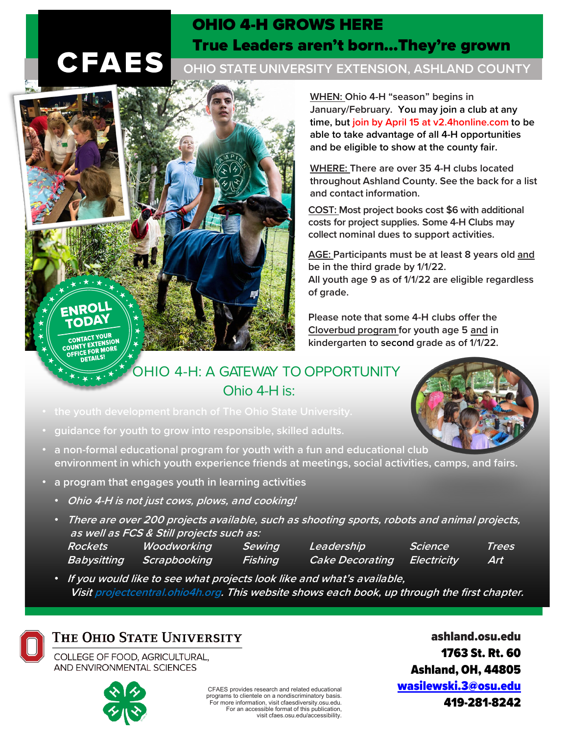## OHIO 4-H GROWS HERE True Leaders aren't born…They're grown

## **CFAES**

CONTACT YOUR CONTACT YOUR<br>OUNTY EXTENSION: OUNTY EXTENDRE DETAILS!

**OHIO STATE UNIVERSITY EXTENSION, ASHLAND COUNTY**

**WHEN: Ohio 4-H "season" begins in January/February. You may join a club at any time, but join by April 15 at v2.4honline.com to be able to take advantage of all 4-H opportunities and be eligible to show at the county fair.** 

**WHERE: There are over 35 4-H clubs located throughout Ashland County. See the back for a list and contact information.** 

**COST: Most project books cost \$6 with additional costs for project supplies. Some 4-H Clubs may collect nominal dues to support activities.**

**AGE: Participants must be at least 8 years old and be in the third grade by 1/1/22. All youth age 9 as of 1/1/22 are eligible regardless of grade.**

**Please note that some 4-H clubs offer the Cloverbud program for youth age 5 and in kindergarten to second grade as of 1/1/22.**

OHIO 4-H: A GATEWAY TO OPPORTUNITY Ohio 4-H is:

- 
- **guidance for youth to grow into responsible, skilled adults.**
- **a non-formal educational program for youth with a fun and educational club environment in which youth experience friends at meetings, social activities, camps, and fairs.**
- **a program that engages youth in learning activities**
	- **Ohio 4-H is not just cows, plows, and cooking!**
	- **There are over 200 projects available, such as shooting sports, robots and animal projects, as well as FCS & Still projects such as: Rockets Woodworking Sewing Leadership Science Trees Babysitting Scrapbooking Fishing Cake Decorating Electricity Art**
	- **If you would like to see what projects look like and what's available, Visit projectcentral.ohio4h.org. This website shows each book, up through the first chapter.**

## THE OHIO STATE UNIVERSITY

COLLEGE OF FOOD, AGRICULTURAL, AND ENVIRONMENTAL SCIENCES



CFAES provides research and related educational programs to clientele on a nondiscriminatory basis. For more information, visit cfaesdiversity.osu.edu. For an accessible format of this publication, visit cfaes.osu.edu/accessibility.

ashland.osu.edu 1763 St. Rt. 60 Ashland, OH, 44805 [wasilewski.3@osu.edu](mailto:wasilewski.3@osu.edu) 419-281-8242